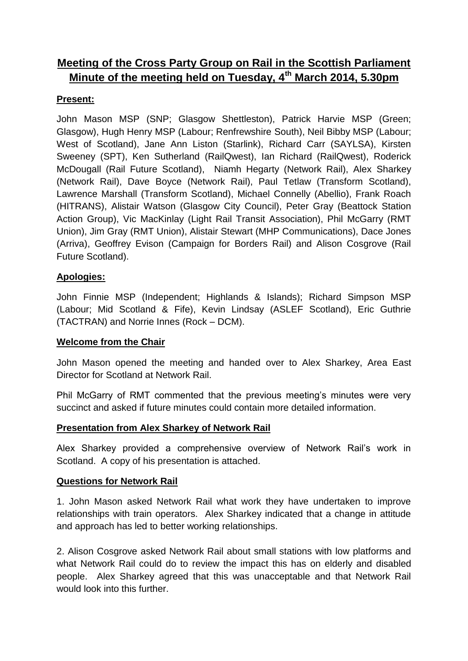# **Meeting of the Cross Party Group on Rail in the Scottish Parliament Minute of the meeting held on Tuesday, 4th March 2014, 5.30pm**

## **Present:**

John Mason MSP (SNP; Glasgow Shettleston), Patrick Harvie MSP (Green; Glasgow), Hugh Henry MSP (Labour; Renfrewshire South), Neil Bibby MSP (Labour; West of Scotland), Jane Ann Liston (Starlink), Richard Carr (SAYLSA), Kirsten Sweeney (SPT), Ken Sutherland (RailQwest), Ian Richard (RailQwest), Roderick McDougall (Rail Future Scotland), Niamh Hegarty (Network Rail), Alex Sharkey (Network Rail), Dave Boyce (Network Rail), Paul Tetlaw (Transform Scotland), Lawrence Marshall (Transform Scotland), Michael Connelly (Abellio), Frank Roach (HITRANS), Alistair Watson (Glasgow City Council), Peter Gray (Beattock Station Action Group), Vic MacKinlay (Light Rail Transit Association), Phil McGarry (RMT Union), Jim Gray (RMT Union), Alistair Stewart (MHP Communications), Dace Jones (Arriva), Geoffrey Evison (Campaign for Borders Rail) and Alison Cosgrove (Rail Future Scotland).

### **Apologies:**

John Finnie MSP (Independent; Highlands & Islands); Richard Simpson MSP (Labour; Mid Scotland & Fife), Kevin Lindsay (ASLEF Scotland), Eric Guthrie (TACTRAN) and Norrie Innes (Rock – DCM).

### **Welcome from the Chair**

John Mason opened the meeting and handed over to Alex Sharkey, Area East Director for Scotland at Network Rail.

Phil McGarry of RMT commented that the previous meeting's minutes were very succinct and asked if future minutes could contain more detailed information.

### **Presentation from Alex Sharkey of Network Rail**

Alex Sharkey provided a comprehensive overview of Network Rail's work in Scotland. A copy of his presentation is attached.

### **Questions for Network Rail**

1. John Mason asked Network Rail what work they have undertaken to improve relationships with train operators. Alex Sharkey indicated that a change in attitude and approach has led to better working relationships.

2. Alison Cosgrove asked Network Rail about small stations with low platforms and what Network Rail could do to review the impact this has on elderly and disabled people. Alex Sharkey agreed that this was unacceptable and that Network Rail would look into this further.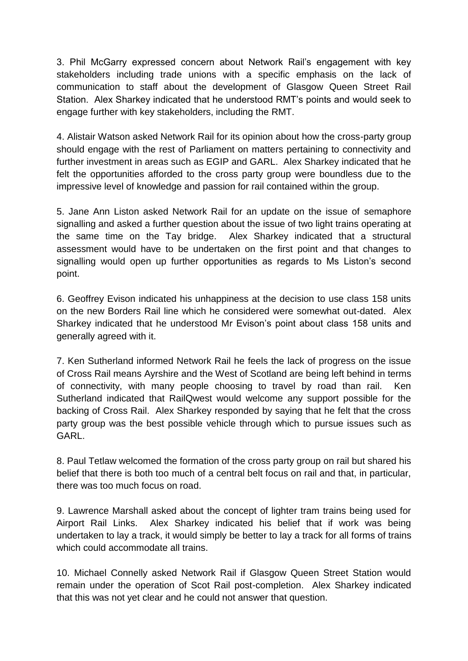3. Phil McGarry expressed concern about Network Rail's engagement with key stakeholders including trade unions with a specific emphasis on the lack of communication to staff about the development of Glasgow Queen Street Rail Station. Alex Sharkey indicated that he understood RMT's points and would seek to engage further with key stakeholders, including the RMT.

4. Alistair Watson asked Network Rail for its opinion about how the cross-party group should engage with the rest of Parliament on matters pertaining to connectivity and further investment in areas such as EGIP and GARL. Alex Sharkey indicated that he felt the opportunities afforded to the cross party group were boundless due to the impressive level of knowledge and passion for rail contained within the group.

5. Jane Ann Liston asked Network Rail for an update on the issue of semaphore signalling and asked a further question about the issue of two light trains operating at the same time on the Tay bridge. Alex Sharkey indicated that a structural assessment would have to be undertaken on the first point and that changes to signalling would open up further opportunities as regards to Ms Liston's second point.

6. Geoffrey Evison indicated his unhappiness at the decision to use class 158 units on the new Borders Rail line which he considered were somewhat out-dated. Alex Sharkey indicated that he understood Mr Evison's point about class 158 units and generally agreed with it.

7. Ken Sutherland informed Network Rail he feels the lack of progress on the issue of Cross Rail means Ayrshire and the West of Scotland are being left behind in terms of connectivity, with many people choosing to travel by road than rail. Ken Sutherland indicated that RailQwest would welcome any support possible for the backing of Cross Rail. Alex Sharkey responded by saying that he felt that the cross party group was the best possible vehicle through which to pursue issues such as GARL.

8. Paul Tetlaw welcomed the formation of the cross party group on rail but shared his belief that there is both too much of a central belt focus on rail and that, in particular, there was too much focus on road.

9. Lawrence Marshall asked about the concept of lighter tram trains being used for Airport Rail Links. Alex Sharkey indicated his belief that if work was being undertaken to lay a track, it would simply be better to lay a track for all forms of trains which could accommodate all trains.

10. Michael Connelly asked Network Rail if Glasgow Queen Street Station would remain under the operation of Scot Rail post-completion. Alex Sharkey indicated that this was not yet clear and he could not answer that question.